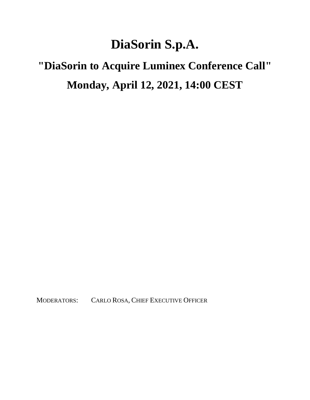## **DiaSorin S.p.A.**

## **"DiaSorin to Acquire Luminex Conference Call" Monday, April 12, 2021, 14:00 CEST**

MODERATORS: CARLO ROSA, CHIEF EXECUTIVE OFFICER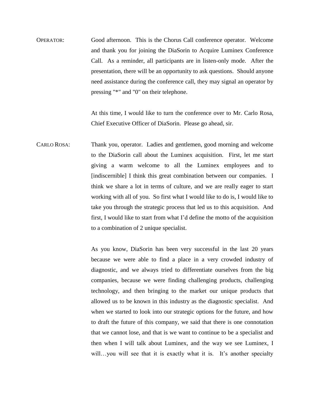OPERATOR: Good afternoon. This is the Chorus Call conference operator. Welcome and thank you for joining the DiaSorin to Acquire Luminex Conference Call. As a reminder, all participants are in listen-only mode. After the presentation, there will be an opportunity to ask questions. Should anyone need assistance during the conference call, they may signal an operator by pressing "\*" and "0" on their telephone.

> At this time, I would like to turn the conference over to Mr. Carlo Rosa, Chief Executive Officer of DiaSorin. Please go ahead, sir.

CARLO ROSA: Thank you, operator. Ladies and gentlemen, good morning and welcome to the DiaSorin call about the Luminex acquisition. First, let me start giving a warm welcome to all the Luminex employees and to [indiscernible] I think this great combination between our companies. I think we share a lot in terms of culture, and we are really eager to start working with all of you. So first what I would like to do is, I would like to take you through the strategic process that led us to this acquisition. And first, I would like to start from what I'd define the motto of the acquisition to a combination of 2 unique specialist.

> As you know, DiaSorin has been very successful in the last 20 years because we were able to find a place in a very crowded industry of diagnostic, and we always tried to differentiate ourselves from the big companies, because we were finding challenging products, challenging technology, and then bringing to the market our unique products that allowed us to be known in this industry as the diagnostic specialist. And when we started to look into our strategic options for the future, and how to draft the future of this company, we said that there is one connotation that we cannot lose, and that is we want to continue to be a specialist and then when I will talk about Luminex, and the way we see Luminex, I will...you will see that it is exactly what it is. It's another specialty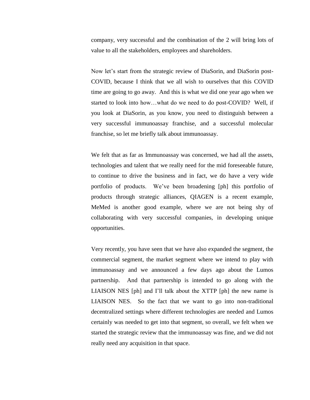company, very successful and the combination of the 2 will bring lots of value to all the stakeholders, employees and shareholders.

Now let's start from the strategic review of DiaSorin, and DiaSorin post-COVID, because I think that we all wish to ourselves that this COVID time are going to go away. And this is what we did one year ago when we started to look into how…what do we need to do post-COVID? Well, if you look at DiaSorin, as you know, you need to distinguish between a very successful immunoassay franchise, and a successful molecular franchise, so let me briefly talk about immunoassay.

We felt that as far as Immunoassay was concerned, we had all the assets, technologies and talent that we really need for the mid foreseeable future, to continue to drive the business and in fact, we do have a very wide portfolio of products. We've been broadening [ph] this portfolio of products through strategic alliances, QIAGEN is a recent example, MeMed is another good example, where we are not being shy of collaborating with very successful companies, in developing unique opportunities.

Very recently, you have seen that we have also expanded the segment, the commercial segment, the market segment where we intend to play with immunoassay and we announced a few days ago about the Lumos partnership. And that partnership is intended to go along with the LIAISON NES [ph] and I'll talk about the XTTP [ph] the new name is LIAISON NES. So the fact that we want to go into non-traditional decentralized settings where different technologies are needed and Lumos certainly was needed to get into that segment, so overall, we felt when we started the strategic review that the immunoassay was fine, and we did not really need any acquisition in that space.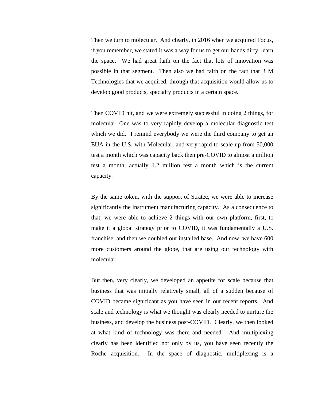Then we turn to molecular. And clearly, in 2016 when we acquired Focus, if you remember, we stated it was a way for us to get our hands dirty, learn the space. We had great faith on the fact that lots of innovation was possible in that segment. Then also we had faith on the fact that 3 M Technologies that we acquired, through that acquisition would allow us to develop good products, specialty products in a certain space.

Then COVID hit, and we were extremely successful in doing 2 things, for molecular. One was to very rapidly develop a molecular diagnostic test which we did. I remind everybody we were the third company to get an EUA in the U.S. with Molecular, and very rapid to scale up from 50,000 test a month which was capacity back then pre-COVID to almost a million test a month, actually 1.2 million test a month which is the current capacity.

By the same token, with the support of Stratec, we were able to increase significantly the instrument manufacturing capacity. As a consequence to that, we were able to achieve 2 things with our own platform, first, to make it a global strategy prior to COVID, it was fundamentally a U.S. franchise, and then we doubled our installed base. And now, we have 600 more customers around the globe, that are using our technology with molecular.

But then, very clearly, we developed an appetite for scale because that business that was initially relatively small, all of a sudden because of COVID became significant as you have seen in our recent reports. And scale and technology is what we thought was clearly needed to nurture the business, and develop the business post-COVID. Clearly, we then looked at what kind of technology was there and needed. And multiplexing clearly has been identified not only by us, you have seen recently the Roche acquisition. In the space of diagnostic, multiplexing is a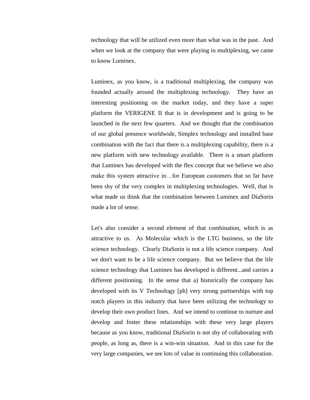technology that will be utilized even more than what was in the past. And when we look at the company that were playing in multiplexing, we came to know Luminex.

Luminex, as you know, is a traditional multiplexing, the company was founded actually around the multiplexing technology. They have an interesting positioning on the market today, and they have a super platform the VERIGENE II that is in development and is going to be launched in the next few quarters. And we thought that the combination of our global presence worldwide, Simplex technology and installed base combination with the fact that there is a multiplexing capability, there is a new platform with new technology available. There is a smart platform that Luminex has developed with the flex concept that we believe we also make this system attractive in…for European customers that so far have been shy of the very complex in multiplexing technologies. Well, that is what made us think that the combination between Luminex and DiaSorin made a lot of sense.

Let's also consider a second element of that combination, which is as attractive to us. As Molecular which is the LTG business, so the life science technology. Clearly DiaSorin is not a life science company. And we don't want to be a life science company. But we believe that the life science technology that Luminex has developed is different...and carries a different positioning. In the sense that a) historically the company has developed with its V Technology [ph] very strong partnerships with top notch players in this industry that have been utilizing the technology to develop their own product lines. And we intend to continue to nurture and develop and foster these relationships with these very large players because as you know, traditional DiaSorin is not shy of collaborating with people, as long as, there is a win-win situation. And in this case for the very large companies, we see lots of value in continuing this collaboration.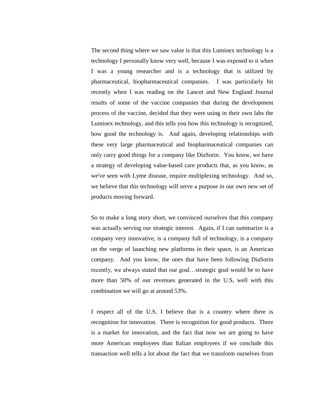The second thing where we saw value is that this Luminex technology is a technology I personally know very well, because I was exposed to it when I was a young researcher and is a technology that is utilized by pharmaceutical, biopharmaceutical companies. I was particularly hit recently when I was reading on the Lancet and New England Journal results of some of the vaccine companies that during the development process of the vaccine, decided that they were using in their own labs the Luminex technology, and this tells you how this technology is recognized, how good the technology is. And again, developing relationships with these very large pharmaceutical and biopharmaceutical companies can only carry good things for a company like DiaSorin. You know, we have a strategy of developing value-based care products that, as you know, as we've seen with Lyme disease, require multiplexing technology. And so, we believe that this technology will serve a purpose in our own new set of products moving forward.

So to make a long story short, we convinced ourselves that this company was actually serving our strategic interest. Again, if I can summarize is a company very innovative, is a company full of technology, is a company on the verge of launching new platforms in their space, is an American company. And you know, the ones that have been following DiaSorin recently, we always stated that our goal…strategic goal would be to have more than 50% of our revenues generated in the U.S, well with this combination we will go at around 53%.

I respect all of the U.S. I believe that is a country where there is recognition for innovation. There is recognition for good products. There is a market for innovation, and the fact that now we are going to have more American employees than Italian employees if we conclude this transaction well tells a lot about the fact that we transform ourselves from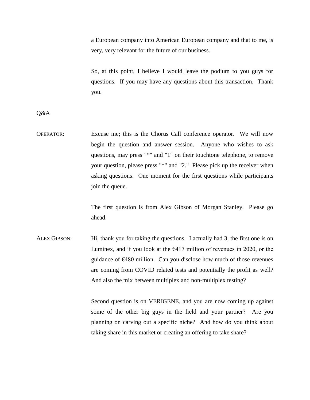a European company into American European company and that to me, is very, very relevant for the future of our business.

So, at this point, I believe I would leave the podium to you guys for questions. If you may have any questions about this transaction. Thank you.

Q&A

OPERATOR: Excuse me; this is the Chorus Call conference operator. We will now begin the question and answer session. Anyone who wishes to ask questions, may press "\*" and "1" on their touchtone telephone, to remove your question, please press "\*" and "2." Please pick up the receiver when asking questions. One moment for the first questions while participants join the queue.

> The first question is from Alex Gibson of Morgan Stanley. Please go ahead.

ALEX GIBSON: Hi, thank you for taking the questions. I actually had 3, the first one is on Luminex, and if you look at the  $\epsilon$ 417 million of revenues in 2020, or the guidance of €480 million. Can you disclose how much of those revenues are coming from COVID related tests and potentially the profit as well? And also the mix between multiplex and non-multiplex testing?

> Second question is on VERIGENE, and you are now coming up against some of the other big guys in the field and your partner? Are you planning on carving out a specific niche? And how do you think about taking share in this market or creating an offering to take share?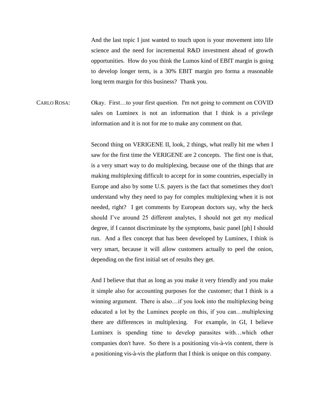And the last topic I just wanted to touch upon is your movement into life science and the need for incremental R&D investment ahead of growth opportunities. How do you think the Lumos kind of EBIT margin is going to develop longer term, is a 30% EBIT margin pro forma a reasonable long term margin for this business? Thank you.

CARLO ROSA: Okay. First…to your first question. I'm not going to comment on COVID sales on Luminex is not an information that I think is a privilege information and it is not for me to make any comment on that.

> Second thing on VERIGENE II, look, 2 things, what really hit me when I saw for the first time the VERIGENE are 2 concepts. The first one is that, is a very smart way to do multiplexing, because one of the things that are making multiplexing difficult to accept for in some countries, especially in Europe and also by some U.S. payers is the fact that sometimes they don't understand why they need to pay for complex multiplexing when it is not needed, right? I get comments by European doctors say, why the heck should I've around 25 different analytes, I should not get my medical degree, if I cannot discriminate by the symptoms, basic panel [ph] I should run. And a flex concept that has been developed by Luminex, I think is very smart, because it will allow customers actually to peel the onion, depending on the first initial set of results they get.

> And I believe that that as long as you make it very friendly and you make it simple also for accounting purposes for the customer; that I think is a winning argument. There is also…if you look into the multiplexing being educated a lot by the Luminex people on this, if you can…multiplexing there are differences in multiplexing. For example, in GI, I believe Luminex is spending time to develop parasites with…which other companies don't have. So there is a positioning vis-à-vis content, there is a positioning vis-à-vis the platform that I think is unique on this company.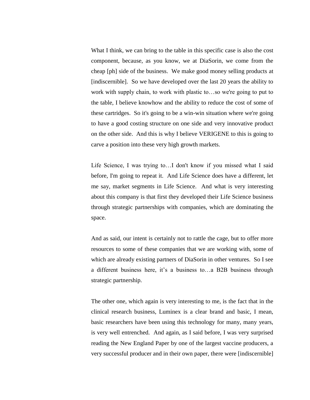What I think, we can bring to the table in this specific case is also the cost component, because, as you know, we at DiaSorin, we come from the cheap [ph] side of the business. We make good money selling products at [indiscernible]. So we have developed over the last 20 years the ability to work with supply chain, to work with plastic to…so we're going to put to the table, I believe knowhow and the ability to reduce the cost of some of these cartridges. So it's going to be a win-win situation where we're going to have a good costing structure on one side and very innovative product on the other side. And this is why I believe VERIGENE to this is going to carve a position into these very high growth markets.

Life Science, I was trying to…I don't know if you missed what I said before, I'm going to repeat it. And Life Science does have a different, let me say, market segments in Life Science. And what is very interesting about this company is that first they developed their Life Science business through strategic partnerships with companies, which are dominating the space.

And as said, our intent is certainly not to rattle the cage, but to offer more resources to some of these companies that we are working with, some of which are already existing partners of DiaSorin in other ventures. So I see a different business here, it's a business to…a B2B business through strategic partnership.

The other one, which again is very interesting to me, is the fact that in the clinical research business, Luminex is a clear brand and basic, I mean, basic researchers have been using this technology for many, many years, is very well entrenched. And again, as I said before, I was very surprised reading the New England Paper by one of the largest vaccine producers, a very successful producer and in their own paper, there were [indiscernible]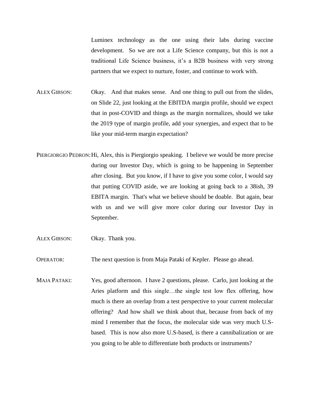Luminex technology as the one using their labs during vaccine development. So we are not a Life Science company, but this is not a traditional Life Science business, it's a B2B business with very strong partners that we expect to nurture, foster, and continue to work with.

ALEX GIBSON: Okay. And that makes sense. And one thing to pull out from the slides, on Slide 22, just looking at the EBITDA margin profile, should we expect that in post-COVID and things as the margin normalizes, should we take the 2019 type of margin profile, add your synergies, and expect that to be like your mid-term margin expectation?

- PIERGIORGIO PEDRON:Hi, Alex, this is Piergiorgio speaking. I believe we would be more precise during our Investor Day, which is going to be happening in September after closing. But you know, if I have to give you some color, I would say that putting COVID aside, we are looking at going back to a 38ish, 39 EBITA margin. That's what we believe should be doable. But again, bear with us and we will give more color during our Investor Day in September.
- ALEX GIBSON: Okay. Thank you.

OPERATOR: The next question is from Maja Pataki of Kepler. Please go ahead.

MAJA PATAKI: Yes, good afternoon. I have 2 questions, please. Carlo, just looking at the Aries platform and this single…the single test low flex offering, how much is there an overlap from a test perspective to your current molecular offering? And how shall we think about that, because from back of my mind I remember that the focus, the molecular side was very much U.Sbased. This is now also more U.S-based, is there a cannibalization or are you going to be able to differentiate both products or instruments?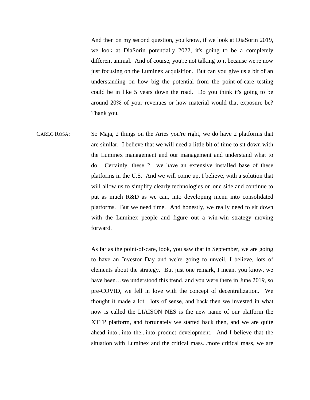And then on my second question, you know, if we look at DiaSorin 2019, we look at DiaSorin potentially 2022, it's going to be a completely different animal. And of course, you're not talking to it because we're now just focusing on the Luminex acquisition. But can you give us a bit of an understanding on how big the potential from the point-of-care testing could be in like 5 years down the road. Do you think it's going to be around 20% of your revenues or how material would that exposure be? Thank you.

CARLO ROSA: So Maja, 2 things on the Aries you're right, we do have 2 platforms that are similar. I believe that we will need a little bit of time to sit down with the Luminex management and our management and understand what to do. Certainly, these 2…we have an extensive installed base of these platforms in the U.S. And we will come up, I believe, with a solution that will allow us to simplify clearly technologies on one side and continue to put as much R&D as we can, into developing menu into consolidated platforms. But we need time. And honestly, we really need to sit down with the Luminex people and figure out a win-win strategy moving forward.

> As far as the point-of-care, look, you saw that in September, we are going to have an Investor Day and we're going to unveil, I believe, lots of elements about the strategy. But just one remark, I mean, you know, we have been...we understood this trend, and you were there in June 2019, so pre-COVID, we fell in love with the concept of decentralization. We thought it made a lot…lots of sense, and back then we invested in what now is called the LIAISON NES is the new name of our platform the XTTP platform, and fortunately we started back then, and we are quite ahead into...into the...into product development. And I believe that the situation with Luminex and the critical mass...more critical mass, we are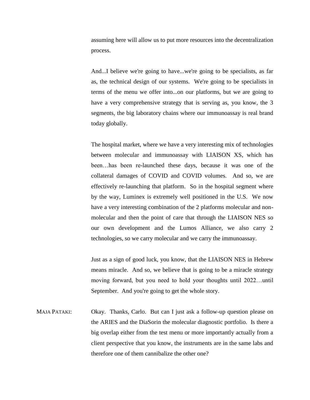assuming here will allow us to put more resources into the decentralization process.

And...I believe we're going to have...we're going to be specialists, as far as, the technical design of our systems. We're going to be specialists in terms of the menu we offer into...on our platforms, but we are going to have a very comprehensive strategy that is serving as, you know, the 3 segments, the big laboratory chains where our immunoassay is real brand today globally.

The hospital market, where we have a very interesting mix of technologies between molecular and immunoassay with LIAISON XS, which has been…has been re-launched these days, because it was one of the collateral damages of COVID and COVID volumes. And so, we are effectively re-launching that platform. So in the hospital segment where by the way, Luminex is extremely well positioned in the U.S. We now have a very interesting combination of the 2 platforms molecular and nonmolecular and then the point of care that through the LIAISON NES so our own development and the Lumos Alliance, we also carry 2 technologies, so we carry molecular and we carry the immunoassay.

Just as a sign of good luck, you know, that the LIAISON NES in Hebrew means miracle. And so, we believe that is going to be a miracle strategy moving forward, but you need to hold your thoughts until 2022…until September. And you're going to get the whole story.

MAJA PATAKI: Okay. Thanks, Carlo. But can I just ask a follow-up question please on the ARIES and the DiaSorin the molecular diagnostic portfolio. Is there a big overlap either from the test menu or more importantly actually from a client perspective that you know, the instruments are in the same labs and therefore one of them cannibalize the other one?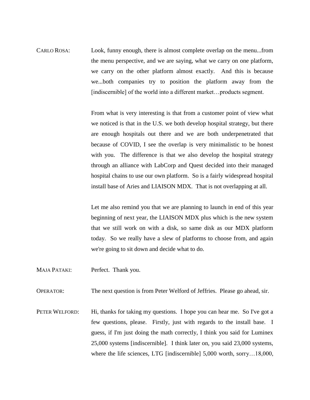CARLO ROSA: Look, funny enough, there is almost complete overlap on the menu...from the menu perspective, and we are saying, what we carry on one platform, we carry on the other platform almost exactly. And this is because we...both companies try to position the platform away from the [indiscernible] of the world into a different market...products segment.

> From what is very interesting is that from a customer point of view what we noticed is that in the U.S. we both develop hospital strategy, but there are enough hospitals out there and we are both underpenetrated that because of COVID, I see the overlap is very minimalistic to be honest with you. The difference is that we also develop the hospital strategy through an alliance with LabCorp and Quest decided into their managed hospital chains to use our own platform. So is a fairly widespread hospital install base of Aries and LIAISON MDX. That is not overlapping at all.

> Let me also remind you that we are planning to launch in end of this year beginning of next year, the LIAISON MDX plus which is the new system that we still work on with a disk, so same disk as our MDX platform today. So we really have a slew of platforms to choose from, and again we're going to sit down and decide what to do.

MAJA PATAKI: Perfect. Thank you.

OPERATOR: The next question is from Peter Welford of Jeffries. Please go ahead, sir.

PETER WELFORD: Hi, thanks for taking my questions. I hope you can hear me. So I've got a few questions, please. Firstly, just with regards to the install base. I guess, if I'm just doing the math correctly, I think you said for Luminex 25,000 systems [indiscernible]. I think later on, you said 23,000 systems, where the life sciences, LTG [indiscernible] 5,000 worth, sorry...18,000,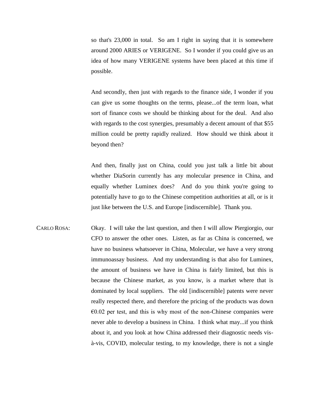so that's 23,000 in total. So am I right in saying that it is somewhere around 2000 ARIES or VERIGENE. So I wonder if you could give us an idea of how many VERIGENE systems have been placed at this time if possible.

And secondly, then just with regards to the finance side, I wonder if you can give us some thoughts on the terms, please...of the term loan, what sort of finance costs we should be thinking about for the deal. And also with regards to the cost synergies, presumably a decent amount of that \$55 million could be pretty rapidly realized. How should we think about it beyond then?

And then, finally just on China, could you just talk a little bit about whether DiaSorin currently has any molecular presence in China, and equally whether Luminex does? And do you think you're going to potentially have to go to the Chinese competition authorities at all, or is it just like between the U.S. and Europe [indiscernible]. Thank you.

CARLO ROSA: Okay. I will take the last question, and then I will allow Piergiorgio, our CFO to answer the other ones. Listen, as far as China is concerned, we have no business whatsoever in China, Molecular, we have a very strong immunoassay business. And my understanding is that also for Luminex, the amount of business we have in China is fairly limited, but this is because the Chinese market, as you know, is a market where that is dominated by local suppliers. The old [indiscernible] patents were never really respected there, and therefore the pricing of the products was down  $\epsilon$ 0.02 per test, and this is why most of the non-Chinese companies were never able to develop a business in China. I think what may...if you think about it, and you look at how China addressed their diagnostic needs visà-vis, COVID, molecular testing, to my knowledge, there is not a single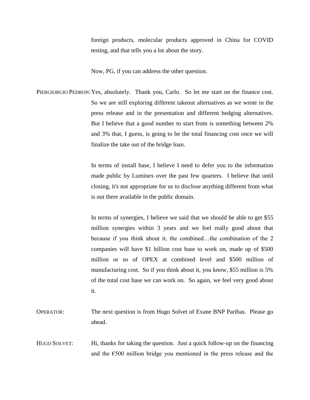foreign products, molecular products approved in China for COVID testing, and that tells you a lot about the story.

Now, PG, if you can address the other question.

PIERGIORGIO PEDRON:Yes, absolutely. Thank you, Carlo. So let me start on the finance cost. So we are still exploring different takeout alternatives as we wrote in the press release and in the presentation and different hedging alternatives. But I believe that a good number to start from is something between 2% and 3% that, I guess, is going to be the total financing cost once we will finalize the take out of the bridge loan.

> In terms of install base, I believe I need to defer you to the information made public by Luminex over the past few quarters. I believe that until closing, it's not appropriate for us to disclose anything different from what is out there available in the public domain.

> In terms of synergies, I believe we said that we should be able to get \$55 million synergies within 3 years and we feel really good about that because if you think about it, the combined…the combination of the 2 companies will have \$1 billion cost base to work on, made up of \$500 million or so of OPEX at combined level and \$500 million of manufacturing cost. So if you think about it, you know, \$55 million is 5% of the total cost base we can work on. So again, we feel very good about it.

- OPERATOR: The next question is from Hugo Solvet of Exane BNP Paribas. Please go ahead.
- HUGO SOLVET: Hi, thanks for taking the question. Just a quick follow-up on the financing and the €500 million bridge you mentioned in the press release and the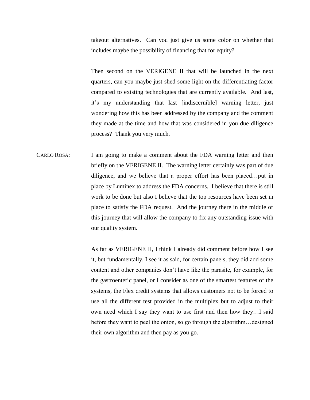takeout alternatives. Can you just give us some color on whether that includes maybe the possibility of financing that for equity?

Then second on the VERIGENE II that will be launched in the next quarters, can you maybe just shed some light on the differentiating factor compared to existing technologies that are currently available. And last, it's my understanding that last [indiscernible] warning letter, just wondering how this has been addressed by the company and the comment they made at the time and how that was considered in you due diligence process? Thank you very much.

CARLO ROSA: I am going to make a comment about the FDA warning letter and then briefly on the VERIGENE II. The warning letter certainly was part of due diligence, and we believe that a proper effort has been placed…put in place by Luminex to address the FDA concerns. I believe that there is still work to be done but also I believe that the top resources have been set in place to satisfy the FDA request. And the journey there in the middle of this journey that will allow the company to fix any outstanding issue with our quality system.

> As far as VERIGENE II, I think I already did comment before how I see it, but fundamentally, I see it as said, for certain panels, they did add some content and other companies don't have like the parasite, for example, for the gastroenteric panel, or I consider as one of the smartest features of the systems, the Flex credit systems that allows customers not to be forced to use all the different test provided in the multiplex but to adjust to their own need which I say they want to use first and then how they…I said before they want to peel the onion, so go through the algorithm…designed their own algorithm and then pay as you go.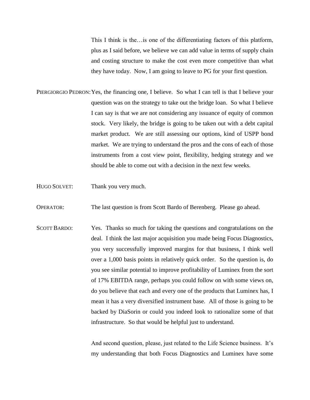This I think is the…is one of the differentiating factors of this platform, plus as I said before, we believe we can add value in terms of supply chain and costing structure to make the cost even more competitive than what they have today. Now, I am going to leave to PG for your first question.

- PIERGIORGIO PEDRON:Yes, the financing one, I believe. So what I can tell is that I believe your question was on the strategy to take out the bridge loan. So what I believe I can say is that we are not considering any issuance of equity of common stock. Very likely, the bridge is going to be taken out with a debt capital market product. We are still assessing our options, kind of USPP bond market. We are trying to understand the pros and the cons of each of those instruments from a cost view point, flexibility, hedging strategy and we should be able to come out with a decision in the next few weeks.
- HUGO SOLVET: Thank you very much.
- OPERATOR: The last question is from Scott Bardo of Berenberg. Please go ahead.
- SCOTT BARDO: Yes. Thanks so much for taking the questions and congratulations on the deal.I think the last major acquisition you made being Focus Diagnostics, you very successfully improved margins for that business, I think well over a 1,000 basis points in relatively quick order. So the question is, do you see similar potential to improve profitability of Luminex from the sort of 17% EBITDA range, perhaps you could follow on with some views on, do you believe that each and every one of the products that Luminex has, I mean it has a very diversified instrument base. All of those is going to be backed by DiaSorin or could you indeed look to rationalize some of that infrastructure. So that would be helpful just to understand.

And second question, please, just related to the Life Science business. It's my understanding that both Focus Diagnostics and Luminex have some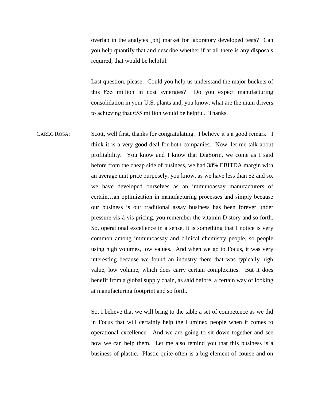overlap in the analytes [ph] market for laboratory developed tests? Can you help quantify that and describe whether if at all there is any disposals required, that would be helpful.

Last question, please. Could you help us understand the major buckets of this  $\epsilon$ 55 million in cost synergies? Do you expect manufacturing consolidation in your U.S. plants and, you know, what are the main drivers to achieving that  $\epsilon$ 55 million would be helpful. Thanks.

CARLO ROSA: Scott, well first, thanks for congratulating. I believe it's a good remark. I think it is a very good deal for both companies. Now, let me talk about profitability. You know and I know that DiaSorin, we come as I said before from the cheap side of business, we had 38% EBITDA margin with an average unit price purposely, you know, as we have less than \$2 and so, we have developed ourselves as an immunoassay manufacturers of certain…an optimization in manufacturing processes and simply because our business is our traditional assay business has been forever under pressure vis-à-vis pricing, you remember the vitamin D story and so forth. So, operational excellence in a sense, it is something that I notice is very common among immunoassay and clinical chemistry people, so people using high volumes, low values. And when we go to Focus, it was very interesting because we found an industry there that was typically high value, low volume, which does carry certain complexities. But it does benefit from a global supply chain, as said before, a certain way of looking at manufacturing footprint and so forth.

> So, I believe that we will bring to the table a set of competence as we did in Focus that will certainly help the Luminex people when it comes to operational excellence. And we are going to sit down together and see how we can help them. Let me also remind you that this business is a business of plastic. Plastic quite often is a big element of course and on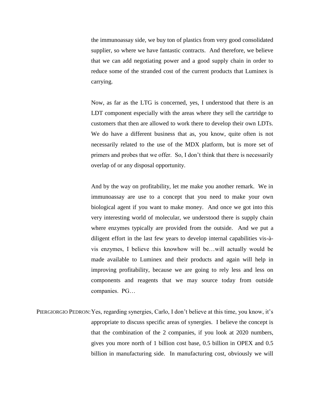the immunoassay side, we buy ton of plastics from very good consolidated supplier, so where we have fantastic contracts. And therefore, we believe that we can add negotiating power and a good supply chain in order to reduce some of the stranded cost of the current products that Luminex is carrying.

Now, as far as the LTG is concerned, yes, I understood that there is an LDT component especially with the areas where they sell the cartridge to customers that then are allowed to work there to develop their own LDTs. We do have a different business that as, you know, quite often is not necessarily related to the use of the MDX platform, but is more set of primers and probes that we offer. So, I don't think that there is necessarily overlap of or any disposal opportunity.

And by the way on profitability, let me make you another remark. We in immunoassay are use to a concept that you need to make your own biological agent if you want to make money. And once we got into this very interesting world of molecular, we understood there is supply chain where enzymes typically are provided from the outside. And we put a diligent effort in the last few years to develop internal capabilities vis-àvis enzymes, I believe this knowhow will be…will actually would be made available to Luminex and their products and again will help in improving profitability, because we are going to rely less and less on components and reagents that we may source today from outside companies. PG…

PIERGIORGIO PEDRON: Yes, regarding synergies, Carlo, I don't believe at this time, you know, it's appropriate to discuss specific areas of synergies. I believe the concept is that the combination of the 2 companies, if you look at 2020 numbers, gives you more north of 1 billion cost base, 0.5 billion in OPEX and 0.5 billion in manufacturing side. In manufacturing cost, obviously we will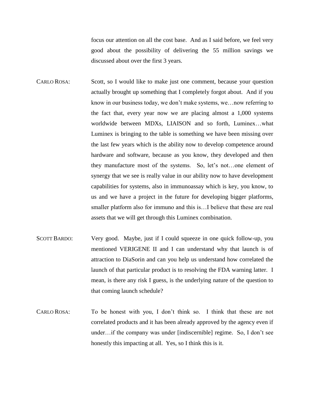focus our attention on all the cost base. And as I said before, we feel very good about the possibility of delivering the 55 million savings we discussed about over the first 3 years.

- CARLO ROSA: Scott, so I would like to make just one comment, because your question actually brought up something that I completely forgot about. And if you know in our business today, we don't make systems, we…now referring to the fact that, every year now we are placing almost a 1,000 systems worldwide between MDXs, LIAISON and so forth, Luminex…what Luminex is bringing to the table is something we have been missing over the last few years which is the ability now to develop competence around hardware and software, because as you know, they developed and then they manufacture most of the systems. So, let's not…one element of synergy that we see is really value in our ability now to have development capabilities for systems, also in immunoassay which is key, you know, to us and we have a project in the future for developing bigger platforms, smaller platform also for immuno and this is…I believe that these are real assets that we will get through this Luminex combination.
- SCOTT BARDO: Very good. Maybe, just if I could squeeze in one quick follow-up, you mentioned VERIGENE II and I can understand why that launch is of attraction to DiaSorin and can you help us understand how correlated the launch of that particular product is to resolving the FDA warning latter. I mean, is there any risk I guess, is the underlying nature of the question to that coming launch schedule?
- CARLO ROSA: To be honest with you, I don't think so. I think that these are not correlated products and it has been already approved by the agency even if under…if the company was under [indiscernible] regime. So, I don't see honestly this impacting at all. Yes, so I think this is it.